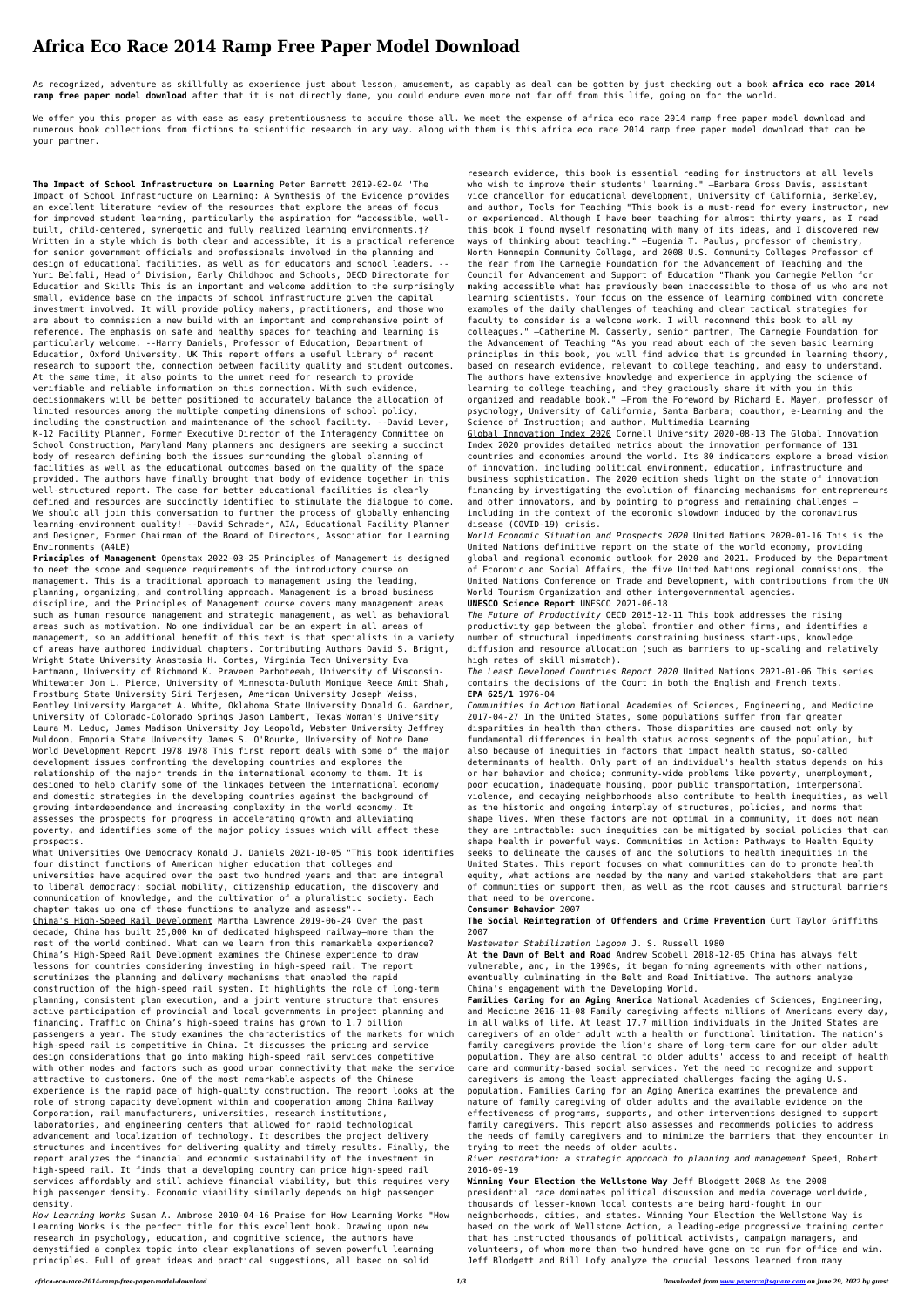## **Africa Eco Race 2014 Ramp Free Paper Model Download**

As recognized, adventure as skillfully as experience just about lesson, amusement, as capably as deal can be gotten by just checking out a book **africa eco race 2014 ramp free paper model download** after that it is not directly done, you could endure even more not far off from this life, going on for the world.

We offer you this proper as with ease as easy pretentiousness to acquire those all. We meet the expense of africa eco race 2014 ramp free paper model download and numerous book collections from fictions to scientific research in any way. along with them is this africa eco race 2014 ramp free paper model download that can be your partner.

**The Impact of School Infrastructure on Learning** Peter Barrett 2019-02-04 'The Impact of School Infrastructure on Learning: A Synthesis of the Evidence provides an excellent literature review of the resources that explore the areas of focus for improved student learning, particularly the aspiration for "accessible, wellbuilt, child-centered, synergetic and fully realized learning environments.†? Written in a style which is both clear and accessible, it is a practical reference for senior government officials and professionals involved in the planning and design of educational facilities, as well as for educators and school leaders. -- Yuri Belfali, Head of Division, Early Childhood and Schools, OECD Directorate for Education and Skills This is an important and welcome addition to the surprisingly small, evidence base on the impacts of school infrastructure given the capital investment involved. It will provide policy makers, practitioners, and those who are about to commission a new build with an important and comprehensive point of reference. The emphasis on safe and healthy spaces for teaching and learning is particularly welcome. --Harry Daniels, Professor of Education, Department of Education, Oxford University, UK This report offers a useful library of recent research to support the, connection between facility quality and student outcomes. At the same time, it also points to the unmet need for research to provide verifiable and reliable information on this connection. With such evidence, decisionmakers will be better positioned to accurately balance the allocation of limited resources among the multiple competing dimensions of school policy, including the construction and maintenance of the school facility. --David Lever, K-12 Facility Planner, Former Executive Director of the Interagency Committee on School Construction, Maryland Many planners and designers are seeking a succinct body of research defining both the issues surrounding the global planning of facilities as well as the educational outcomes based on the quality of the space provided. The authors have finally brought that body of evidence together in this well-structured report. The case for better educational facilities is clearly defined and resources are succinctly identified to stimulate the dialogue to come. We should all join this conversation to further the process of globally enhancing learning-environment quality! --David Schrader, AIA, Educational Facility Planner and Designer, Former Chairman of the Board of Directors, Association for Learning Environments (A4LE)

**Principles of Management** Openstax 2022-03-25 Principles of Management is designed to meet the scope and sequence requirements of the introductory course on management. This is a traditional approach to management using the leading, planning, organizing, and controlling approach. Management is a broad business discipline, and the Principles of Management course covers many management areas such as human resource management and strategic management, as well as behavioral areas such as motivation. No one individual can be an expert in all areas of management, so an additional benefit of this text is that specialists in a variety of areas have authored individual chapters. Contributing Authors David S. Bright, Wright State University Anastasia H. Cortes, Virginia Tech University Eva Hartmann, University of Richmond K. Praveen Parboteeah, University of Wisconsin-Whitewater Jon L. Pierce, University of Minnesota-Duluth Monique Reece Amit Shah, Frostburg State University Siri Terjesen, American University Joseph Weiss, Bentley University Margaret A. White, Oklahoma State University Donald G. Gardner, University of Colorado-Colorado Springs Jason Lambert, Texas Woman's University Laura M. Leduc, James Madison University Joy Leopold, Webster University Jeffrey Muldoon, Emporia State University James S. O'Rourke, University of Notre Dame World Development Report 1978 1978 This first report deals with some of the major development issues confronting the developing countries and explores the relationship of the major trends in the international economy to them. It is designed to help clarify some of the linkages between the international economy and domestic strategies in the developing countries against the background of growing interdependence and increasing complexity in the world economy. It assesses the prospects for progress in accelerating growth and alleviating poverty, and identifies some of the major policy issues which will affect these prospects. What Universities Owe Democracy Ronald J. Daniels 2021-10-05 "This book identifies four distinct functions of American higher education that colleges and universities have acquired over the past two hundred years and that are integral to liberal democracy: social mobility, citizenship education, the discovery and communication of knowledge, and the cultivation of a pluralistic society. Each chapter takes up one of these functions to analyze and assess"-- China's High-Speed Rail Development Martha Lawrence 2019-06-24 Over the past decade, China has built 25,000 km of dedicated highspeed railway—more than the rest of the world combined. What can we learn from this remarkable experience? China's High-Speed Rail Development examines the Chinese experience to draw lessons for countries considering investing in high-speed rail. The report scrutinizes the planning and delivery mechanisms that enabled the rapid construction of the high-speed rail system. It highlights the role of long-term planning, consistent plan execution, and a joint venture structure that ensures active participation of provincial and local governments in project planning and financing. Traffic on China's high-speed trains has grown to 1.7 billion passengers a year. The study examines the characteristics of the markets for which high-speed rail is competitive in China. It discusses the pricing and service design considerations that go into making high-speed rail services competitive with other modes and factors such as good urban connectivity that make the service attractive to customers. One of the most remarkable aspects of the Chinese experience is the rapid pace of high-quality construction. The report looks at the role of strong capacity development within and cooperation among China Railway Corporation, rail manufacturers, universities, research institutions, laboratories, and engineering centers that allowed for rapid technological advancement and localization of technology. It describes the project delivery structures and incentives for delivering quality and timely results. Finally, the report analyzes the financial and economic sustainability of the investment in high-speed rail. It finds that a developing country can price high-speed rail services affordably and still achieve financial viability, but this requires very high passenger density. Economic viability similarly depends on high passenger density. *How Learning Works* Susan A. Ambrose 2010-04-16 Praise for How Learning Works "How Learning Works is the perfect title for this excellent book. Drawing upon new research in psychology, education, and cognitive science, the authors have demystified a complex topic into clear explanations of seven powerful learning principles. Full of great ideas and practical suggestions, all based on solid

research evidence, this book is essential reading for instructors at all levels who wish to improve their students' learning." —Barbara Gross Davis, assistant vice chancellor for educational development, University of California, Berkeley, and author, Tools for Teaching "This book is a must-read for every instructor, new or experienced. Although I have been teaching for almost thirty years, as I read this book I found myself resonating with many of its ideas, and I discovered new ways of thinking about teaching." —Eugenia T. Paulus, professor of chemistry, North Hennepin Community College, and 2008 U.S. Community Colleges Professor of the Year from The Carnegie Foundation for the Advancement of Teaching and the Council for Advancement and Support of Education "Thank you Carnegie Mellon for making accessible what has previously been inaccessible to those of us who are not learning scientists. Your focus on the essence of learning combined with concrete examples of the daily challenges of teaching and clear tactical strategies for faculty to consider is a welcome work. I will recommend this book to all my colleagues." —Catherine M. Casserly, senior partner, The Carnegie Foundation for the Advancement of Teaching "As you read about each of the seven basic learning principles in this book, you will find advice that is grounded in learning theory, based on research evidence, relevant to college teaching, and easy to understand. The authors have extensive knowledge and experience in applying the science of learning to college teaching, and they graciously share it with you in this organized and readable book." —From the Foreword by Richard E. Mayer, professor of psychology, University of California, Santa Barbara; coauthor, e-Learning and the Science of Instruction; and author, Multimedia Learning Global Innovation Index 2020 Cornell University 2020-08-13 The Global Innovation

Index 2020 provides detailed metrics about the innovation performance of 131 countries and economies around the world. Its 80 indicators explore a broad vision of innovation, including political environment, education, infrastructure and business sophistication. The 2020 edition sheds light on the state of innovation financing by investigating the evolution of financing mechanisms for entrepreneurs and other innovators, and by pointing to progress and remaining challenges – including in the context of the economic slowdown induced by the coronavirus disease (COVID-19) crisis.

*World Economic Situation and Prospects 2020* United Nations 2020-01-16 This is the United Nations definitive report on the state of the world economy, providing global and regional economic outlook for 2020 and 2021. Produced by the Department of Economic and Social Affairs, the five United Nations regional commissions, the United Nations Conference on Trade and Development, with contributions from the UN World Tourism Organization and other intergovernmental agencies.

## **UNESCO Science Report** UNESCO 2021-06-18

*The Future of Productivity* OECD 2015-12-11 This book addresses the rising productivity gap between the global frontier and other firms, and identifies a number of structural impediments constraining business start-ups, knowledge diffusion and resource allocation (such as barriers to up-scaling and relatively high rates of skill mismatch).

*The Least Developed Countries Report 2020* United Nations 2021-01-06 This series contains the decisions of the Court in both the English and French texts. **EPA 625/1** 1976-04

*Communities in Action* National Academies of Sciences, Engineering, and Medicine 2017-04-27 In the United States, some populations suffer from far greater disparities in health than others. Those disparities are caused not only by fundamental differences in health status across segments of the population, but also because of inequities in factors that impact health status, so-called determinants of health. Only part of an individual's health status depends on his or her behavior and choice; community-wide problems like poverty, unemployment, poor education, inadequate housing, poor public transportation, interpersonal violence, and decaying neighborhoods also contribute to health inequities, as well as the historic and ongoing interplay of structures, policies, and norms that shape lives. When these factors are not optimal in a community, it does not mean they are intractable: such inequities can be mitigated by social policies that can shape health in powerful ways. Communities in Action: Pathways to Health Equity seeks to delineate the causes of and the solutions to health inequities in the United States. This report focuses on what communities can do to promote health equity, what actions are needed by the many and varied stakeholders that are part of communities or support them, as well as the root causes and structural barriers that need to be overcome.

## **Consumer Behavior** 2007

**The Social Reintegration of Offenders and Crime Prevention** Curt Taylor Griffiths 2007

*Wastewater Stabilization Lagoon* J. S. Russell 1980

**At the Dawn of Belt and Road** Andrew Scobell 2018-12-05 China has always felt vulnerable, and, in the 1990s, it began forming agreements with other nations, eventually culminating in the Belt and Road Initiative. The authors analyze China's engagement with the Developing World.

**Families Caring for an Aging America** National Academies of Sciences, Engineering, and Medicine 2016-11-08 Family caregiving affects millions of Americans every day, in all walks of life. At least 17.7 million individuals in the United States are caregivers of an older adult with a health or functional limitation. The nation's family caregivers provide the lion's share of long-term care for our older adult population. They are also central to older adults' access to and receipt of health care and community-based social services. Yet the need to recognize and support caregivers is among the least appreciated challenges facing the aging U.S. population. Families Caring for an Aging America examines the prevalence and nature of family caregiving of older adults and the available evidence on the effectiveness of programs, supports, and other interventions designed to support family caregivers. This report also assesses and recommends policies to address the needs of family caregivers and to minimize the barriers that they encounter in trying to meet the needs of older adults.

*River restoration: a strategic approach to planning and management* Speed, Robert 2016-09-19

**Winning Your Election the Wellstone Way** Jeff Blodgett 2008 As the 2008 presidential race dominates political discussion and media coverage worldwide, thousands of lesser-known local contests are being hard-fought in our neighborhoods, cities, and states. Winning Your Election the Wellstone Way is based on the work of Wellstone Action, a leading-edge progressive training center that has instructed thousands of political activists, campaign managers, and volunteers, of whom more than two hundred have gone on to run for office and win. Jeff Blodgett and Bill Lofy analyze the crucial lessons learned from many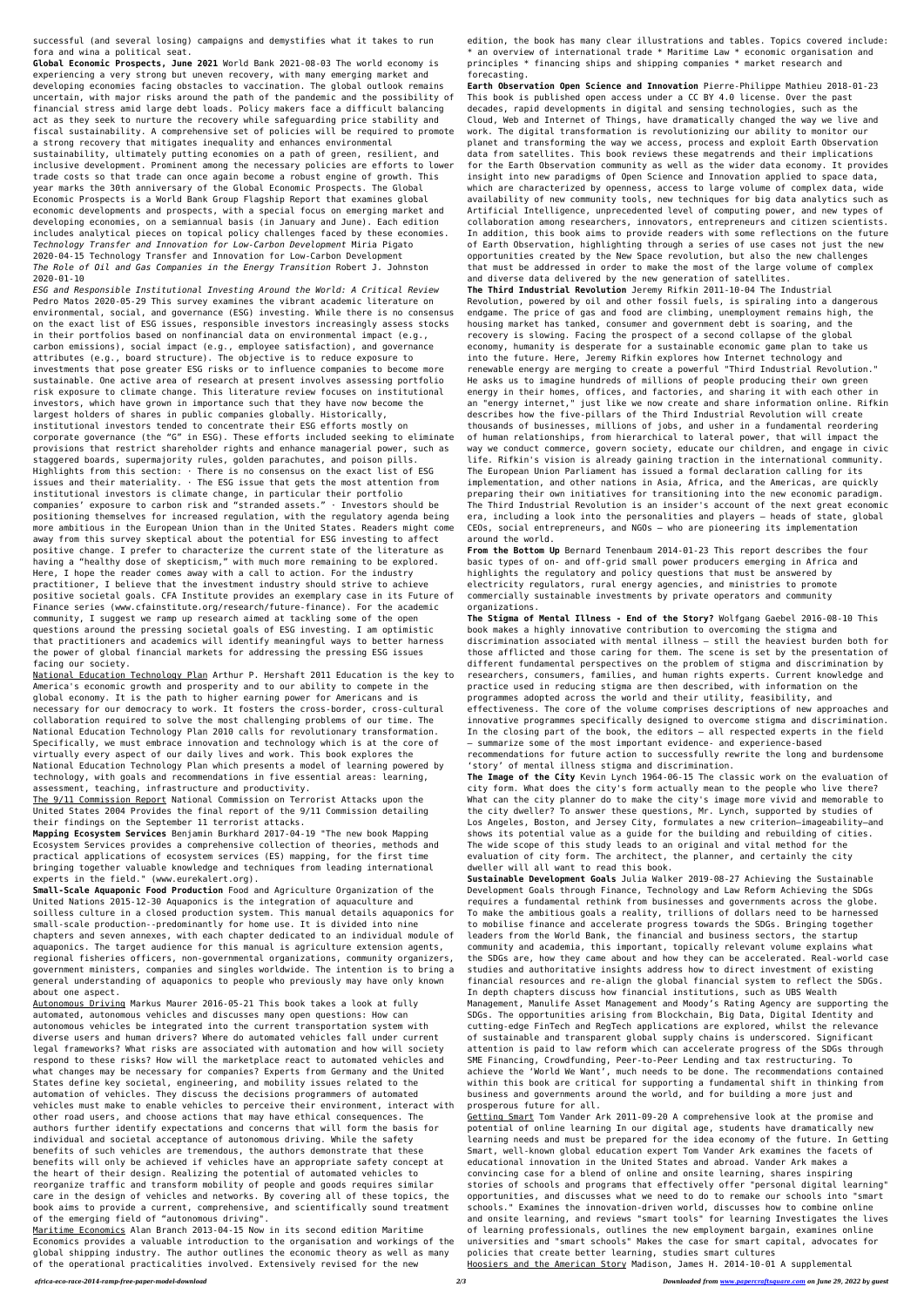successful (and several losing) campaigns and demystifies what it takes to run fora and wina a political seat.

**Global Economic Prospects, June 2021** World Bank 2021-08-03 The world economy is experiencing a very strong but uneven recovery, with many emerging market and developing economies facing obstacles to vaccination. The global outlook remains uncertain, with major risks around the path of the pandemic and the possibility of financial stress amid large debt loads. Policy makers face a difficult balancing act as they seek to nurture the recovery while safeguarding price stability and fiscal sustainability. A comprehensive set of policies will be required to promote a strong recovery that mitigates inequality and enhances environmental sustainability, ultimately putting economies on a path of green, resilient, and inclusive development. Prominent among the necessary policies are efforts to lower trade costs so that trade can once again become a robust engine of growth. This year marks the 30th anniversary of the Global Economic Prospects. The Global Economic Prospects is a World Bank Group Flagship Report that examines global economic developments and prospects, with a special focus on emerging market and developing economies, on a semiannual basis (in January and June). Each edition includes analytical pieces on topical policy challenges faced by these economies. *Technology Transfer and Innovation for Low-Carbon Development* Miria Pigato 2020-04-15 Technology Transfer and Innovation for Low-Carbon Development *The Role of Oil and Gas Companies in the Energy Transition* Robert J. Johnston 2020-01-10

*ESG and Responsible Institutional Investing Around the World: A Critical Review* Pedro Matos 2020-05-29 This survey examines the vibrant academic literature on environmental, social, and governance (ESG) investing. While there is no consensus on the exact list of ESG issues, responsible investors increasingly assess stocks in their portfolios based on nonfinancial data on environmental impact (e.g., carbon emissions), social impact (e.g., employee satisfaction), and governance attributes (e.g., board structure). The objective is to reduce exposure to investments that pose greater ESG risks or to influence companies to become more sustainable. One active area of research at present involves assessing portfolio risk exposure to climate change. This literature review focuses on institutional investors, which have grown in importance such that they have now become the largest holders of shares in public companies globally. Historically, institutional investors tended to concentrate their ESG efforts mostly on corporate governance (the "G" in ESG). These efforts included seeking to eliminate provisions that restrict shareholder rights and enhance managerial power, such as staggered boards, supermajority rules, golden parachutes, and poison pills. Highlights from this section: · There is no consensus on the exact list of ESG issues and their materiality.  $\cdot$  The ESG issue that gets the most attention from institutional investors is climate change, in particular their portfolio companies' exposure to carbon risk and "stranded assets." · Investors should be positioning themselves for increased regulation, with the regulatory agenda being more ambitious in the European Union than in the United States. Readers might come away from this survey skeptical about the potential for ESG investing to affect positive change. I prefer to characterize the current state of the literature as having a "healthy dose of skepticism," with much more remaining to be explored. Here, I hope the reader comes away with a call to action. For the industry practitioner, I believe that the investment industry should strive to achieve positive societal goals. CFA Institute provides an exemplary case in its Future of Finance series (www.cfainstitute.org/research/future-finance). For the academic community, I suggest we ramp up research aimed at tackling some of the open questions around the pressing societal goals of ESG investing. I am optimistic that practitioners and academics will identify meaningful ways to better harness the power of global financial markets for addressing the pressing ESG issues facing our society.

National Education Technology Plan Arthur P. Hershaft 2011 Education is the key to America's economic growth and prosperity and to our ability to compete in the global economy. It is the path to higher earning power for Americans and is necessary for our democracy to work. It fosters the cross-border, cross-cultural collaboration required to solve the most challenging problems of our time. The National Education Technology Plan 2010 calls for revolutionary transformation. Specifically, we must embrace innovation and technology which is at the core of virtually every aspect of our daily lives and work. This book explores the National Education Technology Plan which presents a model of learning powered by technology, with goals and recommendations in five essential areas: learning, assessment, teaching, infrastructure and productivity.

The 9/11 Commission Report National Commission on Terrorist Attacks upon the United States 2004 Provides the final report of the 9/11 Commission detailing their findings on the September 11 terrorist attacks.

**Mapping Ecosystem Services** Benjamin Burkhard 2017-04-19 "The new book Mapping Ecosystem Services provides a comprehensive collection of theories, methods and practical applications of ecosystem services (ES) mapping, for the first time bringing together valuable knowledge and techniques from leading international experts in the field." (www.eurekalert.org).

**Small-Scale Aquaponic Food Production** Food and Agriculture Organization of the United Nations 2015-12-30 Aquaponics is the integration of aquaculture and soilless culture in a closed production system. This manual details aquaponics for small-scale production--predominantly for home use. It is divided into nine chapters and seven annexes, with each chapter dedicated to an individual module of aquaponics. The target audience for this manual is agriculture extension agents, regional fisheries officers, non-governmental organizations, community organizers, government ministers, companies and singles worldwide. The intention is to bring a general understanding of aquaponics to people who previously may have only known about one aspect.

Autonomous Driving Markus Maurer 2016-05-21 This book takes a look at fully automated, autonomous vehicles and discusses many open questions: How can autonomous vehicles be integrated into the current transportation system with diverse users and human drivers? Where do automated vehicles fall under current legal frameworks? What risks are associated with automation and how will society respond to these risks? How will the marketplace react to automated vehicles and what changes may be necessary for companies? Experts from Germany and the United States define key societal, engineering, and mobility issues related to the automation of vehicles. They discuss the decisions programmers of automated vehicles must make to enable vehicles to perceive their environment, interact with other road users, and choose actions that may have ethical consequences. The authors further identify expectations and concerns that will form the basis for individual and societal acceptance of autonomous driving. While the safety benefits of such vehicles are tremendous, the authors demonstrate that these benefits will only be achieved if vehicles have an appropriate safety concept at the heart of their design. Realizing the potential of automated vehicles to reorganize traffic and transform mobility of people and goods requires similar care in the design of vehicles and networks. By covering all of these topics, the book aims to provide a current, comprehensive, and scientifically sound treatment of the emerging field of "autonomous driving".

Maritime Economics Alan Branch 2013-04-15 Now in its second edition Maritime Economics provides a valuable introduction to the organisation and workings of the global shipping industry. The author outlines the economic theory as well as many of the operational practicalities involved. Extensively revised for the new

edition, the book has many clear illustrations and tables. Topics covered include: \* an overview of international trade \* Maritime Law \* economic organisation and principles \* financing ships and shipping companies \* market research and forecasting.

**Earth Observation Open Science and Innovation** Pierre-Philippe Mathieu 2018-01-23 This book is published open access under a CC BY 4.0 license. Over the past decades, rapid developments in digital and sensing technologies, such as the Cloud, Web and Internet of Things, have dramatically changed the way we live and work. The digital transformation is revolutionizing our ability to monitor our planet and transforming the way we access, process and exploit Earth Observation data from satellites. This book reviews these megatrends and their implications for the Earth Observation community as well as the wider data economy. It provides insight into new paradigms of Open Science and Innovation applied to space data, which are characterized by openness, access to large volume of complex data, wide availability of new community tools, new techniques for big data analytics such as Artificial Intelligence, unprecedented level of computing power, and new types of collaboration among researchers, innovators, entrepreneurs and citizen scientists. In addition, this book aims to provide readers with some reflections on the future of Earth Observation, highlighting through a series of use cases not just the new opportunities created by the New Space revolution, but also the new challenges that must be addressed in order to make the most of the large volume of complex and diverse data delivered by the new generation of satellites.

**The Third Industrial Revolution** Jeremy Rifkin 2011-10-04 The Industrial Revolution, powered by oil and other fossil fuels, is spiraling into a dangerous endgame. The price of gas and food are climbing, unemployment remains high, the housing market has tanked, consumer and government debt is soaring, and the recovery is slowing. Facing the prospect of a second collapse of the global economy, humanity is desperate for a sustainable economic game plan to take us into the future. Here, Jeremy Rifkin explores how Internet technology and renewable energy are merging to create a powerful "Third Industrial Revolution." He asks us to imagine hundreds of millions of people producing their own green energy in their homes, offices, and factories, and sharing it with each other in an "energy internet," just like we now create and share information online. Rifkin describes how the five-pillars of the Third Industrial Revolution will create thousands of businesses, millions of jobs, and usher in a fundamental reordering of human relationships, from hierarchical to lateral power, that will impact the way we conduct commerce, govern society, educate our children, and engage in civic life. Rifkin's vision is already gaining traction in the international community. The European Union Parliament has issued a formal declaration calling for its implementation, and other nations in Asia, Africa, and the Americas, are quickly preparing their own initiatives for transitioning into the new economic paradigm. The Third Industrial Revolution is an insider's account of the next great economic era, including a look into the personalities and players — heads of state, global CEOs, social entrepreneurs, and NGOs — who are pioneering its implementation around the world.

**From the Bottom Up** Bernard Tenenbaum 2014-01-23 This report describes the four basic types of on- and off-grid small power producers emerging in Africa and highlights the regulatory and policy questions that must be answered by electricity regulators, rural energy agencies, and ministries to promote commercially sustainable investments by private operators and community organizations.

**The Stigma of Mental Illness - End of the Story?** Wolfgang Gaebel 2016-08-10 This book makes a highly innovative contribution to overcoming the stigma and discrimination associated with mental illness – still the heaviest burden both for those afflicted and those caring for them. The scene is set by the presentation of different fundamental perspectives on the problem of stigma and discrimination by researchers, consumers, families, and human rights experts. Current knowledge and practice used in reducing stigma are then described, with information on the programmes adopted across the world and their utility, feasibility, and effectiveness. The core of the volume comprises descriptions of new approaches and innovative programmes specifically designed to overcome stigma and discrimination. In the closing part of the book, the editors – all respected experts in the field – summarize some of the most important evidence- and experience-based recommendations for future action to successfully rewrite the long and burdensome 'story' of mental illness stigma and discrimination.

**The Image of the City** Kevin Lynch 1964-06-15 The classic work on the evaluation of city form. What does the city's form actually mean to the people who live there? What can the city planner do to make the city's image more vivid and memorable to the city dweller? To answer these questions, Mr. Lynch, supported by studies of Los Angeles, Boston, and Jersey City, formulates a new criterion—imageability—and shows its potential value as a guide for the building and rebuilding of cities. The wide scope of this study leads to an original and vital method for the evaluation of city form. The architect, the planner, and certainly the city dweller will all want to read this book.

**Sustainable Development Goals** Julia Walker 2019-08-27 Achieving the Sustainable Development Goals through Finance, Technology and Law Reform Achieving the SDGs requires a fundamental rethink from businesses and governments across the globe. To make the ambitious goals a reality, trillions of dollars need to be harnessed to mobilise finance and accelerate progress towards the SDGs. Bringing together leaders from the World Bank, the financial and business sectors, the startup community and academia, this important, topically relevant volume explains what the SDGs are, how they came about and how they can be accelerated. Real-world case studies and authoritative insights address how to direct investment of existing financial resources and re-align the global financial system to reflect the SDGs. In depth chapters discuss how financial institutions, such as UBS Wealth Management, Manulife Asset Management and Moody's Rating Agency are supporting the SDGs. The opportunities arising from Blockchain, Big Data, Digital Identity and cutting-edge FinTech and RegTech applications are explored, whilst the relevance of sustainable and transparent global supply chains is underscored. Significant attention is paid to law reform which can accelerate progress of the SDGs through SME Financing, Crowdfunding, Peer-to-Peer Lending and tax restructuring. To achieve the 'World We Want', much needs to be done. The recommendations contained within this book are critical for supporting a fundamental shift in thinking from business and governments around the world, and for building a more just and prosperous future for all.

Getting Smart Tom Vander Ark 2011-09-20 A comprehensive look at the promise and potential of online learning In our digital age, students have dramatically new learning needs and must be prepared for the idea economy of the future. In Getting Smart, well-known global education expert Tom Vander Ark examines the facets of educational innovation in the United States and abroad. Vander Ark makes a convincing case for a blend of online and onsite learning, shares inspiring stories of schools and programs that effectively offer "personal digital learning" opportunities, and discusses what we need to do to remake our schools into "smart schools." Examines the innovation-driven world, discusses how to combine online and onsite learning, and reviews "smart tools" for learning Investigates the lives of learning professionals, outlines the new employment bargain, examines online universities and "smart schools" Makes the case for smart capital, advocates for policies that create better learning, studies smart cultures Hoosiers and the American Story Madison, James H. 2014-10-01 A supplemental